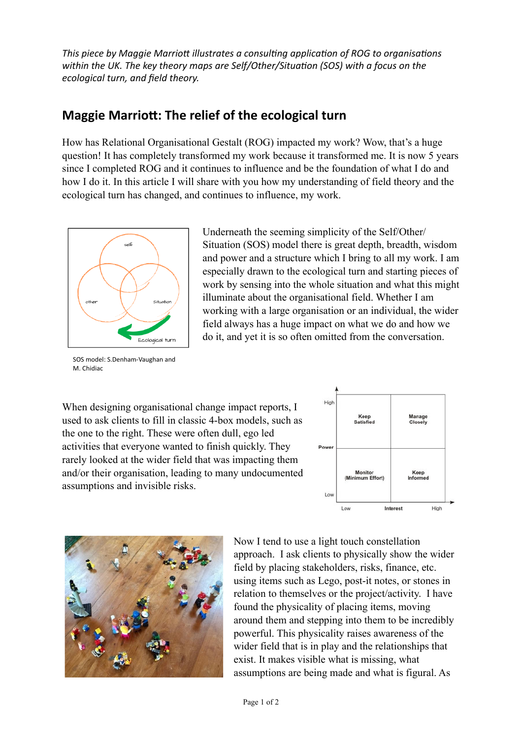*This piece by Maggie Marriott illustrates a consulting application of ROG to organisations* within the UK. The key theory maps are Self/Other/Situation (SOS) with a focus on the *ecological turn, and field theory.* 

## **Maggie Marriott: The relief of the ecological turn**

How has Relational Organisational Gestalt (ROG) impacted my work? Wow, that's a huge question! It has completely transformed my work because it transformed me. It is now 5 years since I completed ROG and it continues to influence and be the foundation of what I do and how I do it. In this article I will share with you how my understanding of field theory and the ecological turn has changed, and continues to influence, my work.



SOS model: S.Denham-Vaughan and M. Chidiac

Underneath the seeming simplicity of the Self/Other/ Situation (SOS) model there is great depth, breadth, wisdom and power and a structure which I bring to all my work. I am especially drawn to the ecological turn and starting pieces of work by sensing into the whole situation and what this might illuminate about the organisational field. Whether I am working with a large organisation or an individual, the wider field always has a huge impact on what we do and how we do it, and yet it is so often omitted from the conversation.

When designing organisational change impact reports, I used to ask clients to fill in classic 4-box models, such as the one to the right. These were often dull, ego led activities that everyone wanted to finish quickly. They rarely looked at the wider field that was impacting them and/or their organisation, leading to many undocumented assumptions and invisible risks.





Now I tend to use a light touch constellation approach. I ask clients to physically show the wider field by placing stakeholders, risks, finance, etc. using items such as Lego, post-it notes, or stones in relation to themselves or the project/activity. I have found the physicality of placing items, moving around them and stepping into them to be incredibly powerful. This physicality raises awareness of the wider field that is in play and the relationships that exist. It makes visible what is missing, what assumptions are being made and what is figural. As